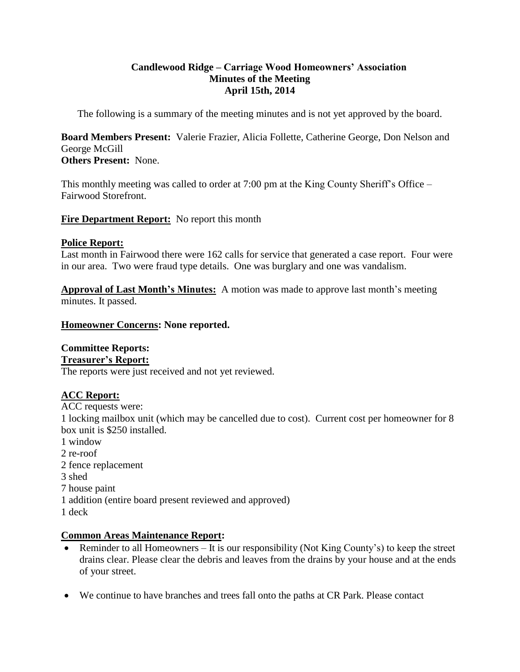# **Candlewood Ridge – Carriage Wood Homeowners' Association Minutes of the Meeting April 15th, 2014**

The following is a summary of the meeting minutes and is not yet approved by the board.

**Board Members Present:** Valerie Frazier, Alicia Follette, Catherine George, Don Nelson and George McGill

**Others Present:** None.

This monthly meeting was called to order at 7:00 pm at the King County Sheriff's Office – Fairwood Storefront.

**Fire Department Report:** No report this month

#### **Police Report:**

Last month in Fairwood there were 162 calls for service that generated a case report. Four were in our area. Two were fraud type details. One was burglary and one was vandalism.

**Approval of Last Month's Minutes:** A motion was made to approve last month's meeting minutes. It passed.

#### **Homeowner Concerns: None reported.**

# **Committee Reports:**

#### **Treasurer's Report:**

The reports were just received and not yet reviewed.

#### **ACC Report:**

ACC requests were:

1 locking mailbox unit (which may be cancelled due to cost). Current cost per homeowner for 8 box unit is \$250 installed.

- 1 window
- 2 re-roof
- 2 fence replacement
- 3 shed
- 7 house paint
- 1 addition (entire board present reviewed and approved)
- 1 deck

# **Common Areas Maintenance Report:**

- Reminder to all Homeowners It is our responsibility (Not King County's) to keep the street drains clear. Please clear the debris and leaves from the drains by your house and at the ends of your street.
- We continue to have branches and trees fall onto the paths at CR Park. Please contact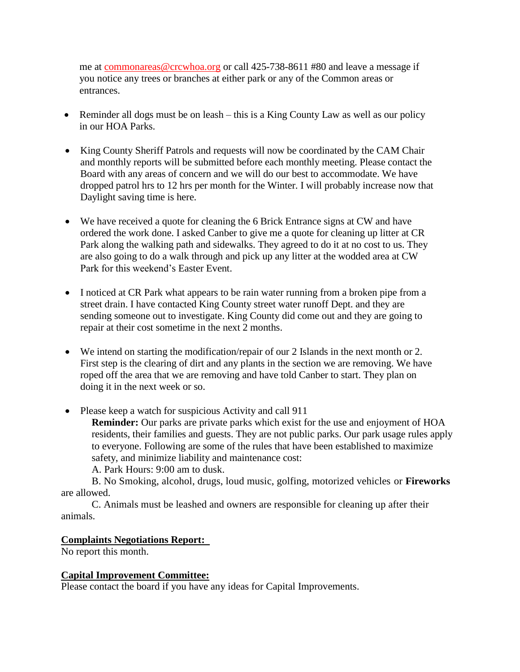me at [commonareas@crcwhoa.org](mailto:commonareas@crcwhoa.org) or call 425-738-8611 #80 and leave a message if you notice any trees or branches at either park or any of the Common areas or entrances.

- Reminder all dogs must be on leash this is a King County Law as well as our policy in our HOA Parks.
- King County Sheriff Patrols and requests will now be coordinated by the CAM Chair and monthly reports will be submitted before each monthly meeting. Please contact the Board with any areas of concern and we will do our best to accommodate. We have dropped patrol hrs to 12 hrs per month for the Winter. I will probably increase now that Daylight saving time is here.
- We have received a quote for cleaning the 6 Brick Entrance signs at CW and have ordered the work done. I asked Canber to give me a quote for cleaning up litter at CR Park along the walking path and sidewalks. They agreed to do it at no cost to us. They are also going to do a walk through and pick up any litter at the wodded area at CW Park for this weekend's Easter Event.
- I noticed at CR Park what appears to be rain water running from a broken pipe from a street drain. I have contacted King County street water runoff Dept. and they are sending someone out to investigate. King County did come out and they are going to repair at their cost sometime in the next 2 months.
- We intend on starting the modification/repair of our 2 Islands in the next month or 2. First step is the clearing of dirt and any plants in the section we are removing. We have roped off the area that we are removing and have told Canber to start. They plan on doing it in the next week or so.
- Please keep a watch for suspicious Activity and call 911

**Reminder:** Our parks are private parks which exist for the use and enjoyment of HOA residents, their families and guests. They are not public parks. Our park usage rules apply to everyone. Following are some of the rules that have been established to maximize safety, and minimize liability and maintenance cost:

A. Park Hours: 9:00 am to dusk.

B. No Smoking, alcohol, drugs, loud music, golfing, motorized vehicles or **Fireworks**  are allowed.

C. Animals must be leashed and owners are responsible for cleaning up after their animals.

#### **Complaints Negotiations Report:**

No report this month.

#### **Capital Improvement Committee:**

Please contact the board if you have any ideas for Capital Improvements.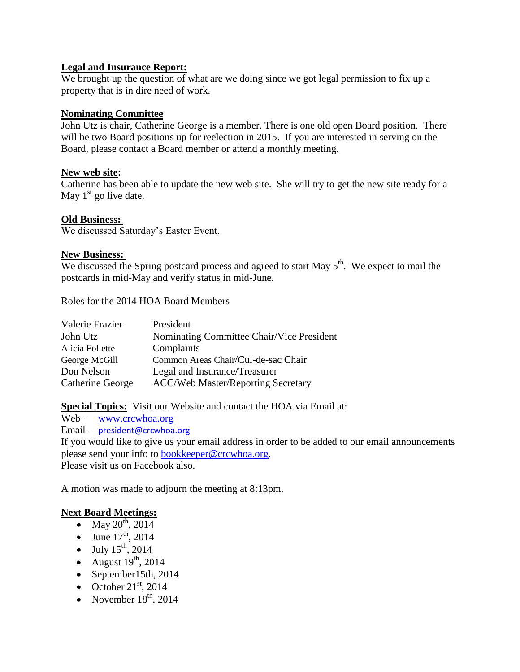# **Legal and Insurance Report:**

We brought up the question of what are we doing since we got legal permission to fix up a property that is in dire need of work.

### **Nominating Committee**

John Utz is chair, Catherine George is a member. There is one old open Board position. There will be two Board positions up for reelection in 2015. If you are interested in serving on the Board, please contact a Board member or attend a monthly meeting.

# **New web site:**

Catherine has been able to update the new web site. She will try to get the new site ready for a May  $1<sup>st</sup>$  go live date.

# **Old Business:**

We discussed Saturday's Easter Event.

# **New Business:**

We discussed the Spring postcard process and agreed to start May  $5<sup>th</sup>$ . We expect to mail the postcards in mid-May and verify status in mid-June.

Roles for the 2014 HOA Board Members

| Valerie Frazier  | President                                 |
|------------------|-------------------------------------------|
| John Utz         | Nominating Committee Chair/Vice President |
| Alicia Follette  | Complaints                                |
| George McGill    | Common Areas Chair/Cul-de-sac Chair       |
| Don Nelson       | Legal and Insurance/Treasurer             |
| Catherine George | <b>ACC/Web Master/Reporting Secretary</b> |

**Special Topics:** Visit our Website and contact the HOA via Email at:

Web – [www.crcwhoa.org](http://www.crcwhoa.org/)

Email – [president@crcwhoa.org](mailto:president@crcwhoa.org)

If you would like to give us your email address in order to be added to our email announcements please send your info to [bookkeeper@crcwhoa.org.](mailto:bookkeeper@crcwhoa.org) Please visit us on Facebook also.

A motion was made to adjourn the meeting at 8:13pm.

# **Next Board Meetings:**

- May  $20^{th}$ , 2014
- June  $17^{th}$ , 2014
- $\bullet$  July  $15^{th}$ , 2014
- August  $19^{th}$ , 2014
- $\bullet$  September15th, 2014
- October  $21<sup>st</sup>$ , 2014
- November  $18<sup>th</sup>$ , 2014